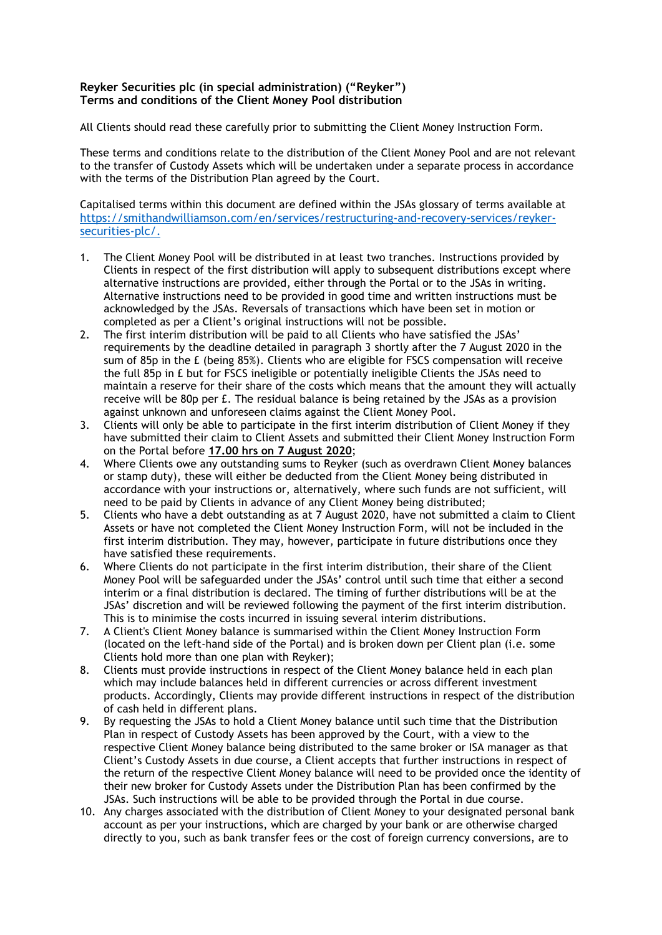## **Reyker Securities plc (in special administration) ("Reyker") Terms and conditions of the Client Money Pool distribution**

All Clients should read these carefully prior to submitting the Client Money Instruction Form.

These terms and conditions relate to the distribution of the Client Money Pool and are not relevant to the transfer of Custody Assets which will be undertaken under a separate process in accordance with the terms of the Distribution Plan agreed by the Court.

Capitalised terms within this document are defined within the JSAs glossary of terms available at [https://smithandwilliamson.com/en/services/restructuring-and-recovery-services/reyker](https://smithandwilliamson.com/en/services/restructuring-and-recovery-services/reyker-securities-plc/)[securities-plc/.](https://smithandwilliamson.com/en/services/restructuring-and-recovery-services/reyker-securities-plc/)

- 1. The Client Money Pool will be distributed in at least two tranches. Instructions provided by Clients in respect of the first distribution will apply to subsequent distributions except where alternative instructions are provided, either through the Portal or to the JSAs in writing. Alternative instructions need to be provided in good time and written instructions must be acknowledged by the JSAs. Reversals of transactions which have been set in motion or completed as per a Client's original instructions will not be possible.
- 2. The first interim distribution will be paid to all Clients who have satisfied the JSAs' requirements by the deadline detailed in paragraph 3 shortly after the 7 August 2020 in the sum of 85p in the £ (being 85%). Clients who are eligible for FSCS compensation will receive the full 85p in £ but for FSCS ineligible or potentially ineligible Clients the JSAs need to maintain a reserve for their share of the costs which means that the amount they will actually receive will be 80p per £. The residual balance is being retained by the JSAs as a provision against unknown and unforeseen claims against the Client Money Pool.
- 3. Clients will only be able to participate in the first interim distribution of Client Money if they have submitted their claim to Client Assets and submitted their Client Money Instruction Form on the Portal before **17.00 hrs on 7 August 2020**;
- 4. Where Clients owe any outstanding sums to Reyker (such as overdrawn Client Money balances or stamp duty), these will either be deducted from the Client Money being distributed in accordance with your instructions or, alternatively, where such funds are not sufficient, will need to be paid by Clients in advance of any Client Money being distributed;
- 5. Clients who have a debt outstanding as at 7 August 2020, have not submitted a claim to Client Assets or have not completed the Client Money Instruction Form, will not be included in the first interim distribution. They may, however, participate in future distributions once they have satisfied these requirements.
- 6. Where Clients do not participate in the first interim distribution, their share of the Client Money Pool will be safeguarded under the JSAs' control until such time that either a second interim or a final distribution is declared. The timing of further distributions will be at the JSAs' discretion and will be reviewed following the payment of the first interim distribution. This is to minimise the costs incurred in issuing several interim distributions.
- 7. A Client's Client Money balance is summarised within the Client Money Instruction Form (located on the left-hand side of the Portal) and is broken down per Client plan (i.e. some Clients hold more than one plan with Reyker);
- 8. Clients must provide instructions in respect of the Client Money balance held in each plan which may include balances held in different currencies or across different investment products. Accordingly, Clients may provide different instructions in respect of the distribution of cash held in different plans.
- 9. By requesting the JSAs to hold a Client Money balance until such time that the Distribution Plan in respect of Custody Assets has been approved by the Court, with a view to the respective Client Money balance being distributed to the same broker or ISA manager as that Client's Custody Assets in due course, a Client accepts that further instructions in respect of the return of the respective Client Money balance will need to be provided once the identity of their new broker for Custody Assets under the Distribution Plan has been confirmed by the JSAs. Such instructions will be able to be provided through the Portal in due course.
- 10. Any charges associated with the distribution of Client Money to your designated personal bank account as per your instructions, which are charged by your bank or are otherwise charged directly to you, such as bank transfer fees or the cost of foreign currency conversions, are to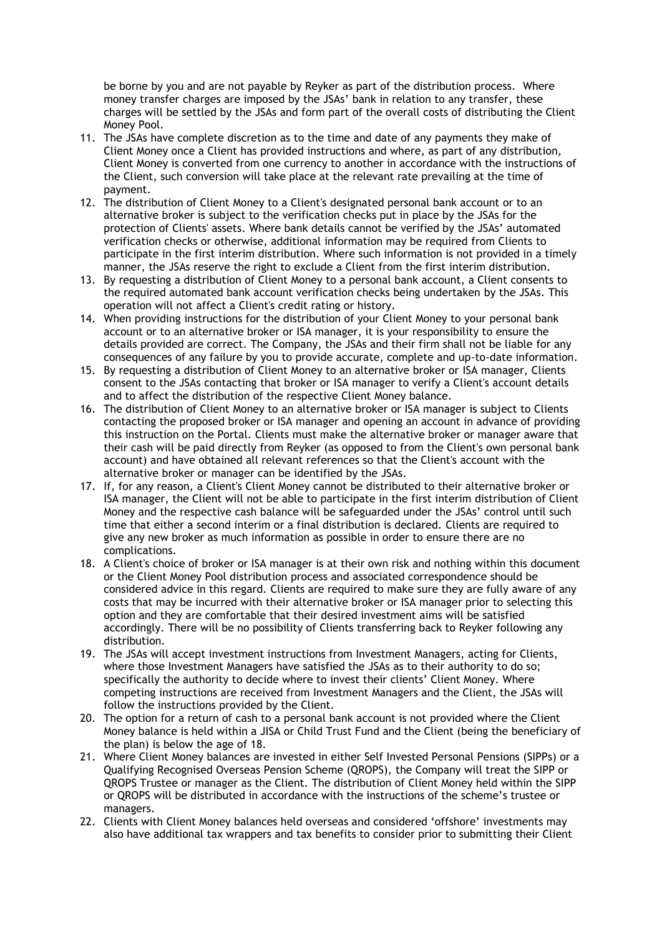be borne by you and are not payable by Reyker as part of the distribution process. Where money transfer charges are imposed by the JSAs' bank in relation to any transfer, these charges will be settled by the JSAs and form part of the overall costs of distributing the Client Money Pool.

- 11. The JSAs have complete discretion as to the time and date of any payments they make of Client Money once a Client has provided instructions and where, as part of any distribution, Client Money is converted from one currency to another in accordance with the instructions of the Client, such conversion will take place at the relevant rate prevailing at the time of payment.
- 12. The distribution of Client Money to a Client's designated personal bank account or to an alternative broker is subject to the verification checks put in place by the JSAs for the protection of Clients' assets. Where bank details cannot be verified by the JSAs' automated verification checks or otherwise, additional information may be required from Clients to participate in the first interim distribution. Where such information is not provided in a timely manner, the JSAs reserve the right to exclude a Client from the first interim distribution.
- 13. By requesting a distribution of Client Money to a personal bank account, a Client consents to the required automated bank account verification checks being undertaken by the JSAs. This operation will not affect a Client's credit rating or history.
- 14. When providing instructions for the distribution of your Client Money to your personal bank account or to an alternative broker or ISA manager, it is your responsibility to ensure the details provided are correct. The Company, the JSAs and their firm shall not be liable for any consequences of any failure by you to provide accurate, complete and up-to-date information.
- 15. By requesting a distribution of Client Money to an alternative broker or ISA manager, Clients consent to the JSAs contacting that broker or ISA manager to verify a Client's account details and to affect the distribution of the respective Client Money balance.
- 16. The distribution of Client Money to an alternative broker or ISA manager is subject to Clients contacting the proposed broker or ISA manager and opening an account in advance of providing this instruction on the Portal. Clients must make the alternative broker or manager aware that their cash will be paid directly from Reyker (as opposed to from the Client's own personal bank account) and have obtained all relevant references so that the Client's account with the alternative broker or manager can be identified by the JSAs.
- 17. If, for any reason, a Client's Client Money cannot be distributed to their alternative broker or ISA manager, the Client will not be able to participate in the first interim distribution of Client Money and the respective cash balance will be safeguarded under the JSAs' control until such time that either a second interim or a final distribution is declared. Clients are required to give any new broker as much information as possible in order to ensure there are no complications.
- 18. A Client's choice of broker or ISA manager is at their own risk and nothing within this document or the Client Money Pool distribution process and associated correspondence should be considered advice in this regard. Clients are required to make sure they are fully aware of any costs that may be incurred with their alternative broker or ISA manager prior to selecting this option and they are comfortable that their desired investment aims will be satisfied accordingly. There will be no possibility of Clients transferring back to Reyker following any distribution.
- 19. The JSAs will accept investment instructions from Investment Managers, acting for Clients, where those Investment Managers have satisfied the JSAs as to their authority to do so; specifically the authority to decide where to invest their clients' Client Money. Where competing instructions are received from Investment Managers and the Client, the JSAs will follow the instructions provided by the Client.
- 20. The option for a return of cash to a personal bank account is not provided where the Client Money balance is held within a JISA or Child Trust Fund and the Client (being the beneficiary of the plan) is below the age of 18.
- 21. Where Client Money balances are invested in either Self Invested Personal Pensions (SIPPs) or a Qualifying Recognised Overseas Pension Scheme (QROPS), the Company will treat the SIPP or QROPS Trustee or manager as the Client. The distribution of Client Money held within the SIPP or QROPS will be distributed in accordance with the instructions of the scheme's trustee or managers.
- 22. Clients with Client Money balances held overseas and considered 'offshore' investments may also have additional tax wrappers and tax benefits to consider prior to submitting their Client